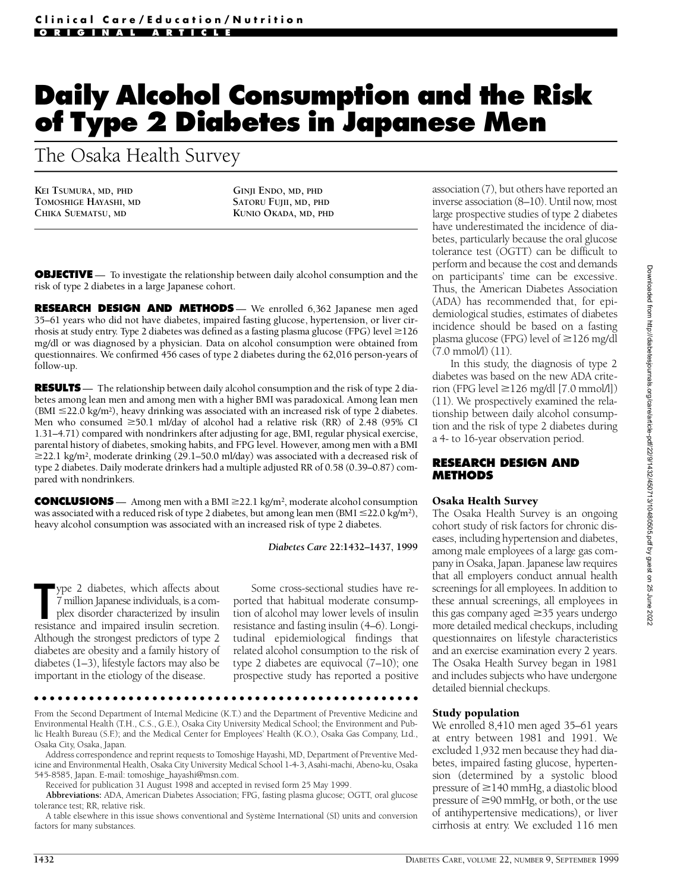# **Daily Alcohol Consumption and the Risk of Type 2 Diabetes in Japanese Men**

The Osaka Health Survey

**KEI TSUMURA, MD, PHD TOMOSHIGE HAYASHI, MD CHIKA SUEMATSU, MD**

**GINJI ENDO, MD, PHD SATORU FUJII, MD, PHD KUNIO OKADA, MD, PHD**

**OBJECTIVE** — To investigate the relationship between daily alcohol consumption and the risk of type 2 diabetes in a large Japanese cohort.

**RESEARCH DESIGN AND METHODS** — We enrolled 6,362 Japanese men aged 35–61 years who did not have diabetes, impaired fasting glucose, hypertension, or liver cirrhosis at study entry. Type 2 diabetes was defined as a fasting plasma glucose (FPG) level  $\geq$ 126 mg/dl or was diagnosed by a physician. Data on alcohol consumption were obtained from questionnaires. We confirmed 456 cases of type 2 diabetes during the 62,016 person-years of follow-up.

**RESULTS**— The relationship between daily alcohol consumption and the risk of type 2 diabetes among lean men and among men with a higher BMI was paradoxical. Among lean men (BMI  $\leq$ 22.0 kg/m<sup>2</sup>), heavy drinking was associated with an increased risk of type 2 diabetes. Men who consumed  $\geq 50.1$  ml/day of alcohol had a relative risk (RR) of 2.48 (95% CI 1.31-4.71) compared with nondrinkers after adjusting for age, BMI, regular physical exercise, parental history of diabetes, smoking habits, and FPG level. However, among men with a BMI  $\geq$ 22.1 kg/m<sup>2</sup>, moderate drinking (29.1–50.0 ml/day) was associated with a decreased risk of type 2 diabetes. Daily moderate drinkers had a multiple adjusted RR of 0.58 (0.39–0.87) compared with nondrinkers.

**CONCLUSIONS** — Among men with a BMI  $\geq$ 22.1 kg/m<sup>2</sup>, moderate alcohol consumption was associated with a reduced risk of type 2 diabetes, but among lean men (BMI  $\leq$ 22.0 kg/m<sup>2</sup>), heavy alcohol consumption was associated with an increased risk of type 2 diabetes.

#### *Diabetes Care* **22:1432–1437, 1999**

Type 2 diabetes, which affects about 7 million Japanese individuals, is a complex disorder characterized by insulin resistance and impaired insulin secretion. ype 2 diabetes, which affects about 7 million Japanese individuals, is a complex disorder characterized by insulin Although the strongest predictors of type 2 diabetes are obesity and a family history of diabetes (1–3), lifestyle factors may also be important in the etiology of the disease.

Some cross-sectional studies have reported that habitual moderate consumption of alcohol may lower levels of insulin resistance and fasting insulin (4–6). Longitudinal epidemiological findings that related alcohol consumption to the risk of type 2 diabetes are equivocal (7–10); one prospective study has reported a positive

#### 

From the Second Department of Internal Medicine (K.T.) and the Department of Preventive Medicine and Environmental Health (T.H., C.S., G.E.), Osaka City University Medical School; the Environment and Public Health Bureau (S.F.); and the Medical Center for Employees' Health (K.O.), Osaka Gas Company, Ltd., Osaka City, Osaka, Japan.

Address correspondence and reprint requests to Tomoshige Hayashi, MD, Department of Preventive Medicine and Environmental Health, Osaka City University Medical School 1-4-3, Asahi-machi, Abeno-ku, Osaka 545-8585, Japan. E-mail: tomoshige\_hayashi@msn.com.

Received for publication 31 August 1998 and accepted in revised form 25 May 1999.

Abbreviations: ADA, American Diabetes Association; FPG, fasting plasma glucose; OGTT, oral glucose tolerance test; RR, relative risk.

A table elsewhere in this issue shows conventional and Système International (SI) units and conversion factors for many substances.

association  $(7)$ , but others have reported an inverse association (8–10). Until now, most large prospective studies of type 2 diabetes have underestimated the incidence of diabetes, particularly because the oral glucose tolerance test (OGTT) can be difficult to perform and because the cost and demands on participants' time can be excessive. Thus, the American Diabetes Association (ADA) has recommended that, for epidemiological studies, estimates of diabetes incidence should be based on a fasting plasma glucose (FPG) level of  $\geq$ 126 mg/dl (7.0 mmol/l) (11).

In this study, the diagnosis of type 2 diabetes was based on the new ADA criterion (FPG level  $\geq$ 126 mg/dl [7.0 mmol/l])  $(11)$ . We prospectively examined the relationship between daily alcohol consumption and the risk of type 2 diabetes during a 4- to 16-year observation period.

#### **RESEARCH DESIGN AND METHODS**

#### Osaka Health Survey

The Osaka Health Survey is an ongoing cohort study of risk factors for chronic diseases, including hypertension and diabetes, among male employees of a large gas company in Osaka, Japan. Japanese law requires that all employers conduct annual health screenings for all employees. In addition to these annual screenings, all employees in this gas company aged  $\geq$ 35 years undergo more detailed medical checkups, including questionnaires on lifestyle characteristics and an exercise examination every 2 years. The Osaka Health Survey began in 1981 and includes subjects who have undergone detailed biennial checkups.

#### Study population

We enrolled 8,410 men aged 35–61 years at entry between 1981 and 1991. We excluded 1,932 men because they had diabetes, impaired fasting glucose, hypertension (determined by a systolic blood pressure of  $\geq$  140 mmHg, a diastolic blood pressure of  $\geq$ 90 mmHg, or both, or the use of antihypertensive medications), or liver cirrhosis at entry. We excluded 116 men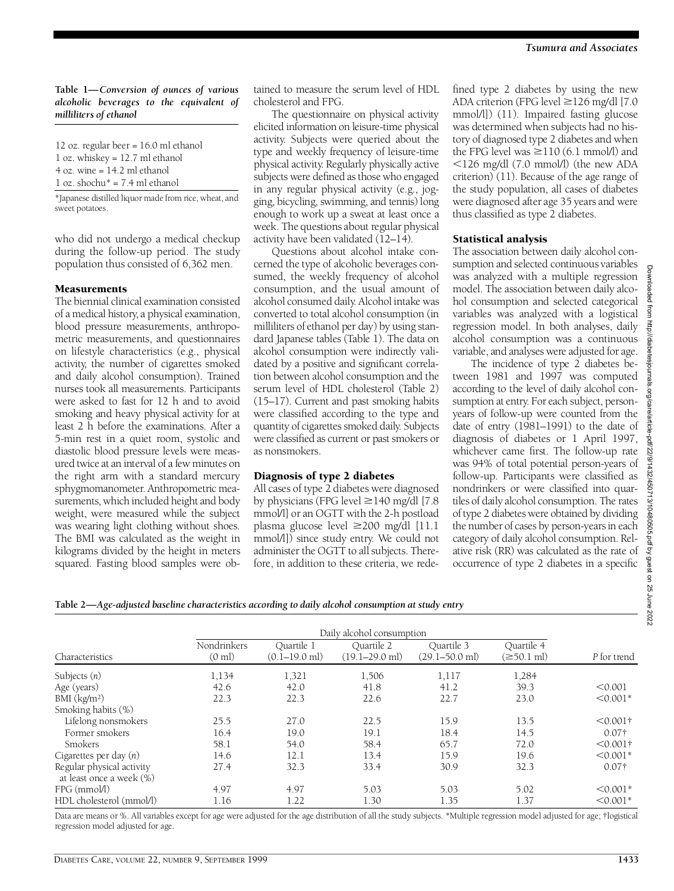### **Table 1—***Conversion of ounces of various alcoholic beverages to the equivalent of milliliters of ethanol*

12 oz. regular beer = 16.0 ml ethanol 1 oz. whiskey = 12.7 ml ethanol  $4$  oz. wine = 14.2 ml ethanol 1 oz. shochu\* = 7.4 ml ethanol

\*Japanese distilled liquor made from rice, wheat, and sweet potatoes.

who did not undergo a medical checkup during the follow-up period. The study population thus consisted of 6,362 men.

## Measurements

The biennial clinical examination consisted of a medical history, a physical examination, blood pressure measurements, anthropometric measurements, and questionnaires on lifestyle characteristics (e.g., physical activity, the number of cigarettes smoked and daily alcohol consumption). Trained nurses took all measurements. Participants were asked to fast for 12 h and to avoid smoking and heavy physical activity for at least 2 h before the examinations. After a 5-min rest in a quiet room, systolic and diastolic blood pressure levels were measured twice at an interval of a few minutes on the right arm with a standard mercury s phygmomanometer. An thropometric measurements, which included height and body weight, were measured while the subject was wearing light clothing without shoes. The BMI was calculated as the weight in kilograms divided by the height in meters squared. Fasting blood samples were obtained to measure the serum level of HDL cholesterol and FPG.

The questionnaire on physical activity elicited information on leisure-time physical activity. Subjects were queried about the type and weekly frequency of leisure-time physical activity. Regularly physically active subjects were defined as those who engaged in any regular physical activity (e.g., jogging, bicycling, swimming, and tennis) long enough to work up a sweat at least once a week. The questions about regular physical activity have been validated (12–14).

Questions about alcohol intake concerned the type of alcoholic beverages consumed, the weekly frequency of alcohol consumption, and the usual amount of alcohol consumed daily. Alcohol intake was converted to total alcohol consumption (in milliliters of ethanol per day) by using standard Japanese tables (Table 1). The data on alcohol consumption were indirectly validated by a positive and significant correlation between alcohol consumption and the serum level of HDL cholesterol (Table 2) (15–17). Current and past smoking habits were classified according to the type and quantity of cigarettes smoked daily. Subjects were classified as current or past smokers or as nonsmokers.

## Diagnosis of type 2 diabetes

All cases of type 2 diabetes were diagnosed by physicians (FPG level  $\geq$ 140 mg/dl [7.8] mmol/l] or an OGTT with the 2-h postload plasma glucose level  $\geq$ 200 mg/dl [11.1] mmol/l]) since study entry. We could not administer the OGTT to all subjects. Therefore, in addition to these criteria, we rede-

fined type 2 diabetes by using the new ADA criterion (FPG level ≥126 mg/dl [7.0 mmol/l]) (11). Impaired fasting glucose was determined when subjects had no history of diagnosed type 2 diabetes and when the FPG level was  $\geq$ 110 (6.1 mmol/l) and  $\leq$ 126 mg/dl (7.0 mmol/l) (the new ADA criterion) (11). Because of the age range of the study population, all cases of diabetes were diagnosed after age 35 years and were thus classified as type 2 diabetes.

## Statistical analysis

The association between daily alcohol consumption and selected continuous variables was analyzed with a multiple regression model. The association between daily alcohol consumption and selected categorical variables was analyzed with a logistical regression model. In both analyses, daily alcohol consumption was a continuous variable, and analyses were adjusted for age.

The incidence of type 2 diabetes between 1981 and 1997 was computed according to the level of daily alcohol consumption at entry. For each subject, personyears of follow-up were counted from the date of entry (1981–1991) to the date of diagnosis of diabetes or 1 April 1997, whichever came first. The follow-up rate was 94% of total potential person-years of follow-up. Participants were classified as nondrinkers or were classified into quartiles of daily alcohol consumption. The rates of type 2 diabetes were obtained by dividing the number of cases by person-years in each category of daily alcohol consumption. Relative risk (RR) was calculated as the rate of occurrence of type 2 diabetes in a specific

**Table 2—***Age-adjusted baseline characteristics according to daily alcohol consumption at study entry*

| Characteristics                                       | Nondrinkers<br>$(0 \text{ ml})$ | Ouartile 1<br>$(0.1–19.0$ ml) | Ouartile 2<br>$(19.1 - 29.0$ ml) | Ouartile 3<br>$(29.1 - 50.0$ ml) | Ouartile 4<br>$(\geq 50.1 \text{ ml})$ | P for trend   |
|-------------------------------------------------------|---------------------------------|-------------------------------|----------------------------------|----------------------------------|----------------------------------------|---------------|
| Subjects $(n)$                                        | 1,134                           | 1,321                         | 1,506                            | 1,117                            | 1,284                                  |               |
| Age (years)                                           | 42.6                            | 42.0                          | 41.8                             | 41.2                             | 39.3                                   | < 0.001       |
| $BMI$ ( $kg/m2$ )                                     | 22.3                            | 22.3                          | 22.6                             | 22.7                             | 23.0                                   | $< 0.001*$    |
| Smoking habits (%)                                    |                                 |                               |                                  |                                  |                                        |               |
| Lifelong nonsmokers                                   | 25.5                            | 27.0                          | 22.5                             | 15.9                             | 13.5                                   | $< 0.001$ †   |
| Former smokers                                        | 16.4                            | 19.0                          | 19.1                             | 18.4                             | 14.5                                   | $0.07\dagger$ |
| Smokers                                               | 58.1                            | 54.0                          | 58.4                             | 65.7                             | 72.0                                   | $< 0.001$ †   |
| Cigarettes per day $(n)$                              | 14.6                            | 12.1                          | 13.4                             | 15.9                             | 19.6                                   | $< 0.001*$    |
| Regular physical activity<br>at least once a week (%) | 27.4                            | 32.3                          | 33.4                             | 30.9                             | 32.3                                   | $0.07\dagger$ |
| $FPG$ (mmol/l)                                        | 4.97                            | 4.97                          | 5.03                             | 5.03                             | 5.02                                   | $< 0.001*$    |
| HDL cholesterol (mmol/l)                              | 1.16                            | 1.22                          | 1.30                             | 1.35                             | 1.37                                   | $< 0.001*$    |

Data are means or %. All variables except for age were adjusted for the age distribution of all the study subjects. \*Multiple regression model adjusted for age; †logistical regression model adjusted for age.

**Downloaded**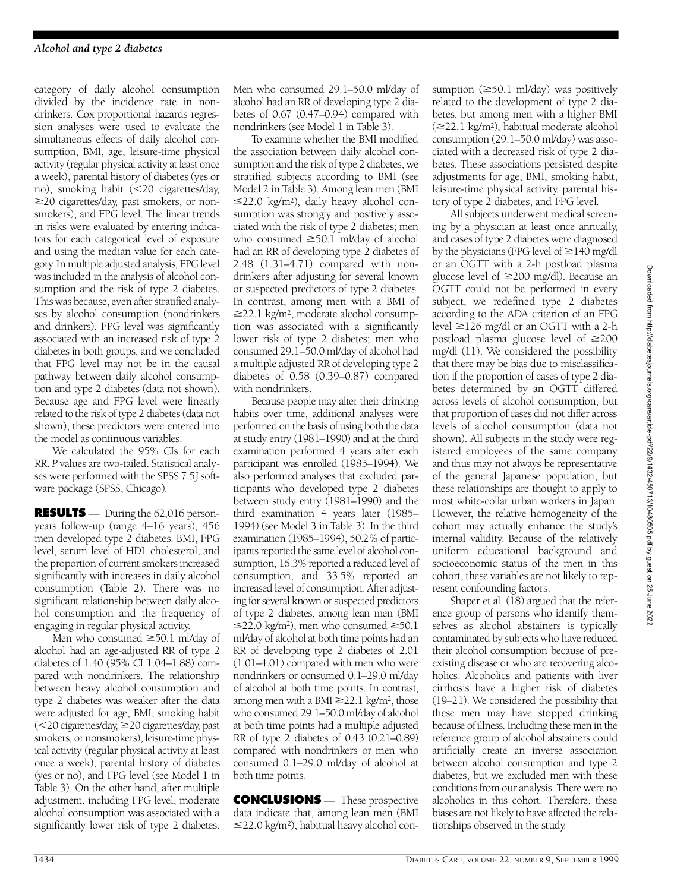category of daily alcohol consumption divided by the incidence rate in nondrinkers. Cox proportional hazards regression analyses were used to evaluate the simultaneous effects of daily alcohol consumption, BMI, age, leisure-time physical activity (regular physical activity at least once a week), parental history of diabetes (yes or no), smoking habit  $\langle$  <20 cigarettes/day,  $\geq$ 20 cigarettes/day, past smokers, or nonsmokers), and FPG level. The linear trends in risks were evaluated by entering indicators for each categorical level of exposure and using the median value for each category. In multiple adjusted analysis, FPG level was included in the analysis of alcohol consumption and the risk of type 2 diabetes. This was because, even after stratified analyses by alcohol consumption (nondrinkers and drinkers), FPG level was significantly associated with an increased risk of type 2 diabetes in both groups, and we concluded that FPG level may not be in the causal pathway between daily alcohol consumption and type 2 diabetes (data not shown). Because age and FPG level were linearly related to the risk of type 2 diabetes (data not shown), these predictors were entered into the model as continuous variables.

We calculated the 95% CIs for each RR. *P* values are two-tailed. Statistical analyses were performed with the SPSS 7.5J software package (SPSS, Chicago).

**RESULTS** — During the 62,016 personyears follow-up (range 4–16 years), 456 men developed type 2 diabetes. BMI, FPG level, serum level of HDL cholesterol, and the proportion of current smokers increased significantly with increases in daily alcohol consumption (Table 2). There was no significant relationship between daily alcohol consumption and the frequency of engaging in regular physical activity.

Men who consumed  $\geq 50.1$  ml/day of alcohol had an age-adjusted RR of type 2 diabetes of 1.40 (95% CI 1.04–1.88) compared with nondrinkers. The relationship between heavy alcohol consumption and type 2 diabetes was weaker after the data were adjusted for age, BMI, smoking habit  $\langle$  <20 cigarettes/day,  $\geq$  20 cigarettes/day, past smokers, or nonsmokers), leisure-time physical activity (regular physical activity at least once a week), parental history of diabetes (yes or no), and FPG level (see Model 1 in Table 3). On the other hand, after multiple adjustment, including FPG level, moderate alcohol consumption was associated with a significantly lower risk of type 2 diabetes.

Men who consumed 29.1–50.0 ml/day of alcohol had an RR of developing type 2 diabetes of 0.67 (0.47–0.94) compared with nondrinkers (see Model 1 in Table 3).

To examine whether the BMI modified the association between daily alcohol consumption and the risk of type 2 diabetes, we stratified subjects according to BMI (see Model 2 in Table 3). Among lean men (BMI  $\leq$ 22.0 kg/m<sup>2</sup>), daily heavy alcohol consumption was strongly and positively associated with the risk of type 2 diabetes; men who consumed  $\geq 50.1$  ml/day of alcohol had an RR of developing type 2 diabetes of 2.48 (1.31–4.71) compared with nondrinkers after adjusting for several known or suspected predictors of type 2 diabetes. In contrast, among men with a BMI of  $\geq$ 22.1 kg/m<sup>2</sup>, moderate alcohol consumption was associated with a significantly lower risk of type 2 diabetes; men who consumed 29.1–50.0 ml/day of alcohol had a multiple adjusted RR of developing type 2 diabetes of  $0.58$   $(0.39-0.87)$  compared with nondrinkers.

Because people may alter their drinking habits over time, additional analyses were performed on the basis of using both the data at study entry (1981–1990) and at the third examination performed 4 years after each participant was enrolled (1985-1994). We also performed analyses that excluded participants who developed type 2 diabetes between study entry (1981–1990) and the third examination 4 years later  $(1985-$ 1994) (see Model 3 in Table 3). In the third examination (1985-1994), 50.2% of participants reported the same level of alcohol consumption, 16.3% reported a reduced level of consumption, and 33.5% reported an increased level of consumption. After adjusting for several known or suspected predictors of type 2 diabetes, among lean men (BMI  $\leq$ 22.0 kg/m<sup>2</sup>), men who consumed  $\geq$ 50.1 ml/day of alcohol at both time points had an RR of developing type 2 diabetes of 2.01 (1.01–4.01) compared with men who were nondrinkers or consumed 0.1–29.0 ml/day of alcohol at both time points. In contrast, among men with a BMI  $\geq$ 22.1 kg/m<sup>2</sup>, those who consumed 29.1–50.0 ml/day of alcohol at both time points had a multiple adjusted RR of type 2 diabetes of 0.43 (0.21–0.89) compared with nondrinkers or men who consumed 0.1–29.0 ml/day of alcohol at both time points.

**CONCLUSIONS** — These prospective data indicate that, among lean men (BMI  $\leq$ 22.0 kg/m<sup>2</sup>), habitual heavy alcohol consumption  $(\geq 50.1 \text{ ml/day})$  was positively related to the development of type 2 diabetes, but among men with a higher BMI (≥22.1 kg/m<sup>2</sup>), habitual moderate alcohol consumption (29.1–50.0 ml/day) was associated with a decreased risk of type 2 diabetes. These associations persisted despite adjustments for age, BMI, smoking habit, leisure-time physical activity, parental history of type 2 diabetes, and FPG level.

All subjects underwent medical screening by a physician at least once annually, and cases of type 2 diabetes were diagnosed by the physicians (FPG level of  $\geq$ 140 mg/dl or an OGTT with a 2-h postload plasma glucose level of  $\geq$ 200 mg/dl). Because an OGTT could not be performed in every subject, we redefined type 2 diabetes according to the ADA criterion of an FPG level  $\geq$ 126 mg/dl or an OGTT with a 2-h postload plasma glucose level of  $\geq$  200 mg/dl (11). We considered the possibility that there may be bias due to misclassification if the proportion of cases of type 2 diabetes determined by an OGTT differed across levels of alcohol consumption, but that proportion of cases did not differ across levels of alcohol consumption (data not shown). All subjects in the study were registered employees of the same company and thus may not always be representative of the general Japanese population, but these relationships are thought to apply to most white-collar urban workers in Japan. However, the relative homogeneity of the cohort may actually enhance the study's internal validity. Because of the relatively uniform educational background and socioeconomic status of the men in this cohort, these variables are not likely to represent confounding factors.

Shaper et al. (18) argued that the reference group of persons who identify themselves as alcohol abstainers is typically contaminated by subjects who have reduced their alcohol consumption because of preexisting disease or who are recovering alcoholics. Alcoholics and patients with liver cirrhosis have a higher risk of diabetes (19–21). We considered the possibility that these men may have stopped drinking because of illness. Including these men in the reference group of alcohol abstainers could artificially create an inverse association between alcohol consumption and type 2 diabetes, but we excluded men with these conditions from our analysis. There were no alcoholics in this cohort. Therefore, these biases are not likely to have affected the relationships observed in the study.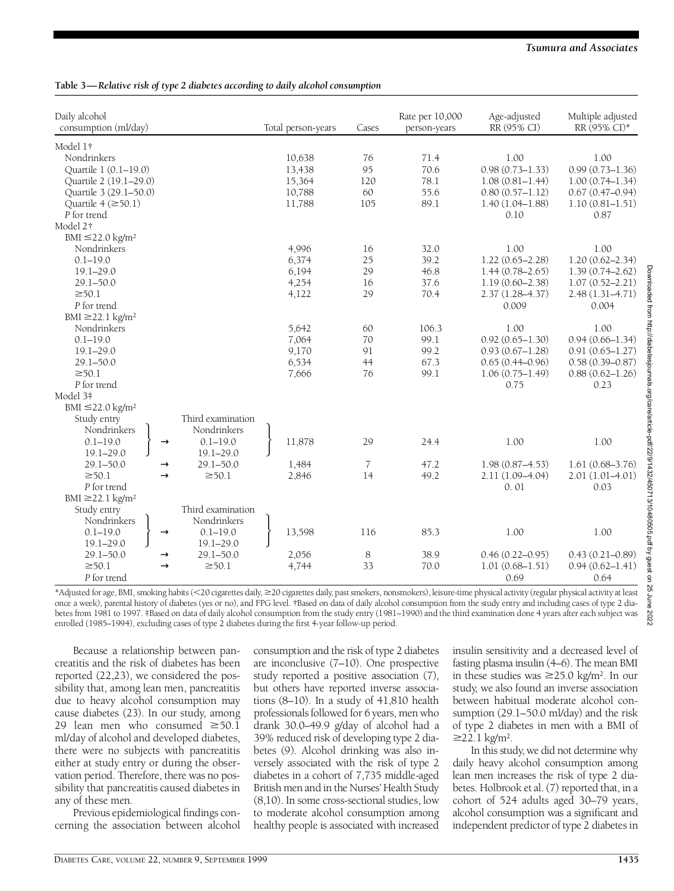| Daily alcohol<br>consumption (ml/day) |                   | Total person-years | Cases          | Rate per 10,000<br>person-years | Age-adjusted<br>RR (95% CI) | Multiple adjusted<br>RR (95% CI)* |
|---------------------------------------|-------------------|--------------------|----------------|---------------------------------|-----------------------------|-----------------------------------|
| Model 1†                              |                   |                    |                |                                 |                             |                                   |
| Nondrinkers                           |                   | 10,638             | 76             | 71.4                            | 1.00                        | 1.00                              |
| Quartile 1 (0.1-19.0)                 |                   | 13,438             | 95             | 70.6                            | $0.98(0.73 - 1.33)$         | $0.99(0.73 - 1.36)$               |
| Ouartile 2 (19.1-29.0)                |                   | 15,364             | 120            | 78.1                            | $1.08(0.81 - 1.44)$         | $1.00(0.74 - 1.34)$               |
| Quartile 3 (29.1-50.0)                |                   | 10,788             | 60             | 55.6                            | $0.80(0.57 - 1.12)$         | $0.67(0.47-0.94)$                 |
| Quartile $4 \approx 50.1$             |                   | 11,788             | 105            | 89.1                            | $1.40(1.04 - 1.88)$         | $1.10(0.81 - 1.51)$               |
| P for trend                           |                   |                    |                |                                 | 0.10                        | 0.87                              |
| Model 2 <sup>†</sup>                  |                   |                    |                |                                 |                             |                                   |
| BMI $\leq$ 22.0 kg/m <sup>2</sup>     |                   |                    |                |                                 |                             |                                   |
| Nondrinkers                           |                   | 4,996              | 16             | 32.0                            | 1.00                        | 1.00                              |
| $0.1 - 19.0$                          |                   | 6,374              | 25             | 39.2                            | $1.22(0.65 - 2.28)$         | $1.20(0.62 - 2.34)$               |
| $19.1 - 29.0$                         |                   | 6,194              | 29             | 46.8                            | $1.44(0.78 - 2.65)$         | $1.39(0.74 - 2.62)$               |
| $29.1 - 50.0$                         |                   | 4,254              | 16             | 37.6                            | $1.19(0.60 - 2.38)$         | $1.07(0.52 - 2.21)$               |
| $\geq 50.1$                           |                   | 4,122              | 29             | 70.4                            | $2.37(1.28 - 4.37)$         | $2.48(1.31-4.71)$                 |
| P for trend                           |                   |                    |                |                                 | 0.009                       | 0.004                             |
| BMI $\geq$ 22.1 kg/m <sup>2</sup>     |                   |                    |                |                                 |                             |                                   |
| Nondrinkers                           |                   | 5,642              | 60             | 106.3                           | 1.00                        | 1.00                              |
| $0.1 - 19.0$                          |                   | 7,064              | 70             | 99.1                            | $0.92(0.65 - 1.30)$         | $0.94(0.66 - 1.34)$               |
| $19.1 - 29.0$                         |                   | 9,170              | 91             | 99.2                            | $0.93(0.67 - 1.28)$         | $0.91(0.65 - 1.27)$               |
| $29.1 - 50.0$                         |                   | 6,534              | 44             | 67.3                            | $0.65(0.44 - 0.96)$         | $0.58(0.39 - 0.87)$               |
| $\geq 50.1$                           |                   | 7,666              | 76             | 99.1                            | $1.06(0.75 - 1.49)$         | $0.88(0.62 - 1.26)$               |
| P for trend                           |                   |                    |                |                                 | 0.75                        | 0.23                              |
| Model 3‡                              |                   |                    |                |                                 |                             |                                   |
| BMI $\leq$ 22.0 kg/m <sup>2</sup>     |                   |                    |                |                                 |                             |                                   |
| Study entry                           | Third examination |                    |                |                                 |                             |                                   |
| Nondrinkers                           | Nondrinkers       |                    |                |                                 |                             |                                   |
| $0.1 - 19.0$                          | $0.1 - 19.0$      | 11,878             | 29             | 24.4                            | 1.00                        | 1.00                              |
| $19.1 - 29.0$                         | $19.1 - 29.0$     |                    |                |                                 |                             |                                   |
| $29.1 - 50.0$                         | $29.1 - 50.0$     | 1,484              | $\overline{7}$ | 47.2                            | $1.98(0.87 - 4.53)$         | $1.61(0.68 - 3.76)$               |
| $\geq 50.1$                           | $\geq 50.1$       | 2,846              | 14             | 49.2                            | 2.11 (1.09-4.04)            | $2.01(1.01-4.01)$                 |
| P for trend                           |                   |                    |                |                                 | 0.01                        | 0.03                              |
| BMI $\geq$ 22.1 kg/m <sup>2</sup>     |                   |                    |                |                                 |                             |                                   |
| Study entry                           | Third examination |                    |                |                                 |                             |                                   |
| Nondrinkers                           | Nondrinkers       |                    |                |                                 |                             |                                   |
| $0.1 - 19.0$                          | $0.1 - 19.0$      | 13,598             | 116            | 85.3                            | 1.00                        | 1.00                              |
| $19.1 - 29.0$                         | $19.1 - 29.0$     |                    |                |                                 |                             |                                   |
| $29.1 - 50.0$                         | $29.1 - 50.0$     | 2,056              | 8              | 38.9                            | $0.46(0.22 - 0.95)$         | $0.43(0.21 - 0.89)$               |
| $\geq 50.1$                           | $\geq 50.1$       | 4,744              | 33             | 70.0                            |                             |                                   |
|                                       |                   |                    |                |                                 | $1.01(0.68 - 1.51)$         | $0.94(0.62 - 1.41)$               |
| P for trend                           |                   |                    |                |                                 | 0.69                        | 0.64                              |

\*Adjusted for age, BMI, smoking habits (<20 cigarettes daily, ≥20 cigarettes daily, past smokers, nonsmokers), leisure-time physical activity (regular physical activity at least once a week), parental history of diabetes (yes or no), and FPG level. †Based on data of daily alcohol consumption from the study entry and including cases of type 2 diabetes from 1981 to 1997. ‡Based on data of daily alcohol consumption from the study entry (1981–1990) and the third examination done 4 years after each subject was enrolled (1985–1994), excluding cases of type 2 diabetes during the first 4-year follow-up period.

Because a relationship between panc reatitis and the risk of diabetes has been reported  $(22,23)$ , we considered the possibility that, among lean men, pancreatitis due to heavy alcohol consumption may cause diabetes (23). In our study, among 29 lean men who consumed  $\geq 50.1$ ml/day of alcohol and developed diabetes, there were no subjects with pancreatitis either at study entry or during the observation period. Therefore, there was no possibility that pancreatitis caused diabetes in any of these men.

Previous epidemiological findings concerning the association between alcohol consumption and the risk of type 2 diabetes are inconclusive  $(7-10)$ . One prospective study reported a positive association (7), but others have reported inverse associations (8–10). In a study of 41,810 health p rofessionals followed for 6 years, men who drank 30.0–49.9 g/day of alcohol had a 39% reduced risk of developing type 2 diabetes (9). Alcohol drinking was also inversely associated with the risk of type 2 diabetes in a cohort of 7,735 middle-aged British men and in the Nurses' Health Study (8,10). In some cross-sectional studies, low to moderate alcohol consumption among healthy people is associated with increased

insulin sensitivity and a decreased level of fasting plasma insulin (4–6). The mean BMI in these studies was  $\geq$ 25.0 kg/m<sup>2</sup>. In our study, we also found an inverse association between habitual moderate alcohol consumption (29.1–50.0 ml/day) and the risk of type 2 diabetes in men with a BMI of  $≥22.1$  kg/m<sup>2</sup>.

In this study, we did not determine why daily heavy alcohol consumption among lean men increases the risk of type 2 diabetes. Holbrook et al. (7) reported that, in a cohort of 524 adults aged 30–79 years, alcohol consumption was a significant and independent predictor of type 2 diabetes in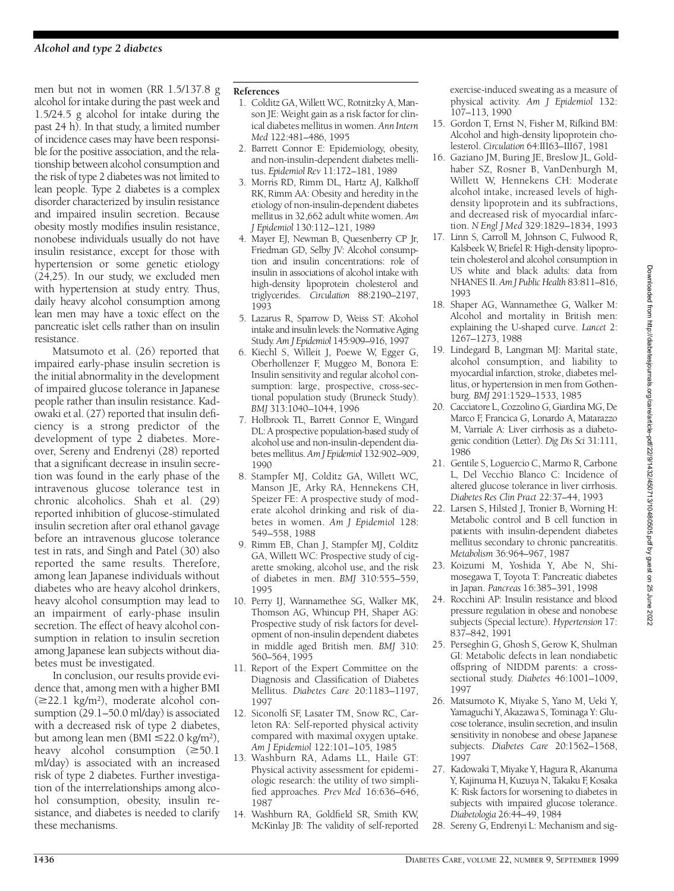men but not in women (RR 1.5/137.8 g alcohol for intake during the past week and 1.5/24.5 g alcohol for intake during the past 24 h). In that study, a limited number of incidence cases may have been responsible for the positive association, and the relationship between alcohol consumption and the risk of type 2 diabetes was not limited to lean people. Type 2 diabetes is a complex disorder characterized by insulin resistance and impaired insulin secretion. Because obesity mostly modifies insulin resistance, nonobese individuals usually do not have insulin resistance, except for those with hypertension or some genetic etiology (24,25). In our study, we excluded men with hypertension at study entry. Thus, daily heavy alcohol consumption among lean men may have a toxic effect on the pancreatic islet cells rather than on insulin resistance.

Matsumoto et al. (26) reported that impaired early-phase insulin secretion is the initial abnormality in the development of impaired glucose tolerance in Japanese people rather than insulin resistance. Kadowaki et al. (27) reported that insulin deficiency is a strong predictor of the development of type 2 diabetes. Moreover, Sereny and Endrenyi (28) reported that a significant decrease in insulin secretion was found in the early phase of the intravenous glucose tolerance test in chronic alcoholics. Shah et al. (29) reported inhibition of glucose-stimulated insulin secretion after oral ethanol gavage before an intravenous glucose tolerance test in rats, and Singh and Patel (30) also reported the same results. Therefore, among lean Japanese individuals without diabetes who are heavy alcohol drinkers, heavy alcohol consumption may lead to an impairment of early-phase insulin secretion. The effect of heavy alcohol consumption in relation to insulin secretion among Japanese lean subjects without diabetes must be investigated.

In conclusion, our results provide evidence that, among men with a higher BMI  $(\geq 22.1 \text{ kg/m}^2)$ , moderate alcohol consumption (29.1–50.0 ml/day) is associated with a decreased risk of type 2 diabetes, but among lean men (BMI  $\leq$ 22.0 kg/m<sup>2</sup>), heavy alcohol consumption  $(\geq 50.1$ ml/day) is associated with an increased risk of type 2 diabetes. Further investigation of the interrelationships among alcohol consumption, obesity, insulin resistance, and diabetes is needed to clarify these mechanisms.

### **References**

- 1 . Colditz GA, Willett WC, Rotnitzky A, Manson JE: Weight gain as a risk factor for clinical diabetes mellitus in women. *Ann Intern M e d* 122:481–486, 1995
- 2. Barrett Connor E: Epidemiology, obesity, and non-insulin-dependent diabetes mellitus. *Epidemiol Rev* 11:172–181, 1989
- 3. Morris RD, Rimm DL, Hartz AJ, Kalkhoff RK, Rimm AA: Obesity and heredity in the etiology of non-insulin-dependent diabetes mellitus in 32,662 adult white women. Am *J Epidemiol* 130:112–121, 1989
- 4 . Mayer EJ, Newman B, Quesenberry CP Jr, Friedman GD, Selby JV: Alcohol consumption and insulin concentrations: role of insulin in associations of alcohol intake with high-density lipoprotein cholesterol and triglycerides. *Circulation* 88:2190-2197, 1993
- 5. Lazarus R, Sparrow D, Weiss ST: Alcohol intake and insulin levels: the Normative Aging Study. Am J Epidemiol 145:909-916, 1997
- 6 . Kiechl S, Willeit J, Poewe W, Egger G, Oberhollenzer F, Muggeo M, Bonora E: Insulin sensitivity and regular alcohol consumption: large, prospective, cross-sectional population study (Bruneck Study). *BMJ* 313:1040–1044, 1996
- 7. Holbrook TL, Barrett Connor E, Wingard DL: A prospective population-based study of alcohol use and non-insulin-dependent diabetes mellitus. Am J Epidemiol 132:902-909, 1990
- 8 . Stampfer MJ, Colditz GA, Willett WC, Manson JE, Arky RA, Hennekens CH, Speizer FE: A prospective study of moderate alcohol drinking and risk of diabetes in women. Am J Epidemiol 128: 549–558, 1988
- 9. Rimm EB, Chan J, Stampfer MJ, Colditz GA, Willett WC: Prospective study of cigarette smoking, alcohol use, and the risk of diabetes in men. *BMJ* 310:555-559, 1995
- 10. Perry IJ, Wannamethee SG, Walker MK, Thomson AG, Whincup PH, Shaper AG: Prospective study of risk factors for development of non-insulin dependent diabetes in middle aged British men. *BMJ* 310: 560–564, 1995
- 11. Report of the Expert Committee on the Diagnosis and Classification of Diabetes Mellitus. *Diabetes Care* 20:1183-1197, 1997
- 12. Siconolfi SF, Lasater TM, Snow RC, Carleton RA: Self-reported physical activity compared with maximal oxygen uptake. *Am J Epidemiol* 122:101–105, 1985
- 13. Washburn RA, Adams LL, Haile GT: Physical activity assessment for epidemiologic research: the utility of two simplified approaches. *Prev Med* 16:636–646, 1987
- 14. Washburn RA, Goldfield SR, Smith KW, McKinlay JB: The validity of self-reported

exercise-induced sweating as a measure of physical activity. Am J Epidemiol 132: 107–113, 1990

- 15. Gordon T, Ernst N, Fisher M, Rifkind BM: Alcohol and high-density lipoprotein cholesterol. *Circulation* 64:III63-III67, 1981
- 16. Gaziano JM, Buring JE, Breslow JL, Goldhaber SZ, Rosner B, Van Denburgh M, Willett W, Hennekens CH: Moderate alcohol intake, increased levels of highdensity lipoprotein and its subfractions, and decreased risk of myocardial infarction. *N Engl J Med* 329:1829–1834, 1993
- 17. Linn S, Carroll M, Johnson C, Fulwood R, Kalsbeek W, Briefel R: High-density lipoprotein cholesterol and alcohol consumption in US white and black adults: data from NHANES II. *Am J Public Health* 83:811-816, 1993
- 18. Shaper AG, Wannamethee G, Walker M: Alcohol and mortality in British men: explaining the U-shaped curve. *Lancet* 2: 1267–1273, 1988
- 19. Lindegard B, Langman MJ: Marital state, alcohol consumption, and liability to myocardial infarction, stroke, diabetes mellitus, or hypertension in men from Gothenburg. *BMJ* 291:1529-1533, 1985
- 20. Cacciatore L, Cozzolino G, Giardina MG, De Marco F, Francica G, Lonardo A, Matarazzo M, Varriale A: Liver cirrhosis as a diabetogenic condition (Letter). *Dig Dis Sci* 31:111,  $1986$
- 21. Gentile S, Loguercio C, Marmo R, Carbone L, Del Vecchio Blanco C: Incidence of altered glucose tolerance in liver cirrhosis. *Diabetes Res Clin Pract* 22:37–44, 1993
- 22. Larsen S, Hilsted J, Tronier B, Worning H: Metabolic control and B cell function in patients with insulin-dependent diabetes mellitus secondary to chronic pancreatitis. *M e t a b o l i s m* 36:964–967, 1987
- 23. Koizumi M, Yoshida Y, Abe N, Shimosegawa T, Toyota T: Pancreatic diabetes in Japan. *Pancreas* 16:385–391, 1998
- 24. Rocchini AP: Insulin resistance and blood pressure regulation in obese and nonobese subjects (Special lecture). *Hypertension* 17: 837–842, 1991
- 25. Perseghin G, Ghosh S, Gerow K, Shulman GI: Metabolic defects in lean nondiabetic offspring of NIDDM parents: a crosssectional study. *Diabetes* 46:1001-1009, 1997
- 26. Matsumoto K, Miyake S, Yano M, Ueki Y, Yamaguchi Y, Akazawa S, Tominaga Y: Glucose tolerance, insulin secretion, and insulin sensitivity in nonobese and obese Japanese subjects. *Diabetes Care* 20:1562-1568, 1997
- 27. Kadowaki T, Miyake Y, Hagura R, Akanuma Y, Kajinuma H, Kuzuya N, Takaku F, Kosaka K: Risk factors for worsening to diabetes in subjects with impaired glucose tolerance. *D i a b e t o l o g i a* 26:44–49, 1984
- 28. Sereny G, Endrenyi L: Mechanism and sig-